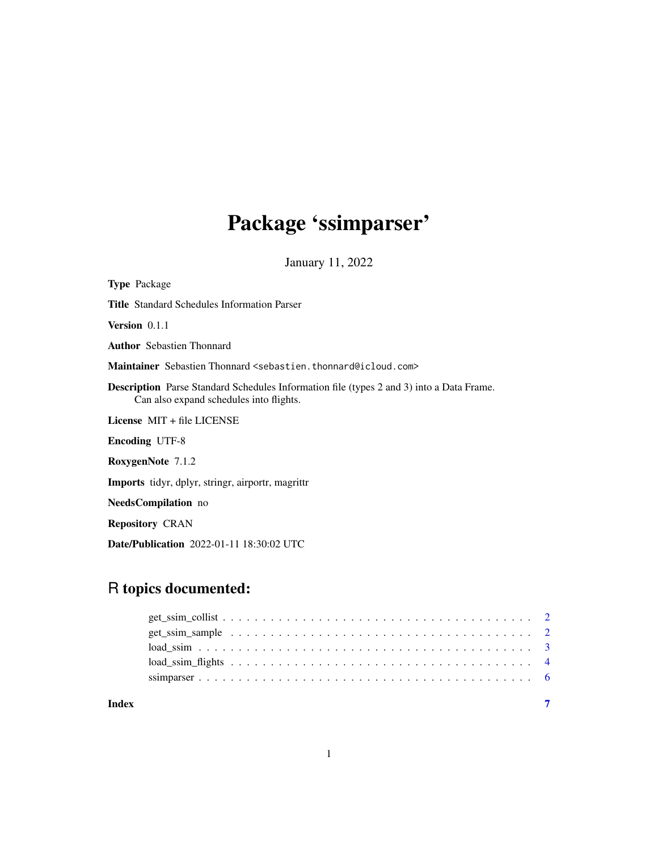# Package 'ssimparser'

January 11, 2022

| <b>Type Package</b>                                                                                                                        |
|--------------------------------------------------------------------------------------------------------------------------------------------|
| <b>Title Standard Schedules Information Parser</b>                                                                                         |
| <b>Version</b> $0.1.1$                                                                                                                     |
| <b>Author</b> Sebastien Thonnard                                                                                                           |
| Maintainer Sebastien Thonnard <sebastien.thonnard@icloud.com></sebastien.thonnard@icloud.com>                                              |
| <b>Description</b> Parse Standard Schedules Information file (types 2 and 3) into a Data Frame.<br>Can also expand schedules into flights. |
| License $MIT + file LICENSE$                                                                                                               |
| <b>Encoding UTF-8</b>                                                                                                                      |
| RoxygenNote 7.1.2                                                                                                                          |
| Imports tidyr, dplyr, stringr, airportr, magrittr                                                                                          |
| <b>NeedsCompilation</b> no                                                                                                                 |
| <b>Repository CRAN</b>                                                                                                                     |
|                                                                                                                                            |

Date/Publication 2022-01-11 18:30:02 UTC

# R topics documented:

| Index |  |
|-------|--|
|       |  |
|       |  |
|       |  |
|       |  |
|       |  |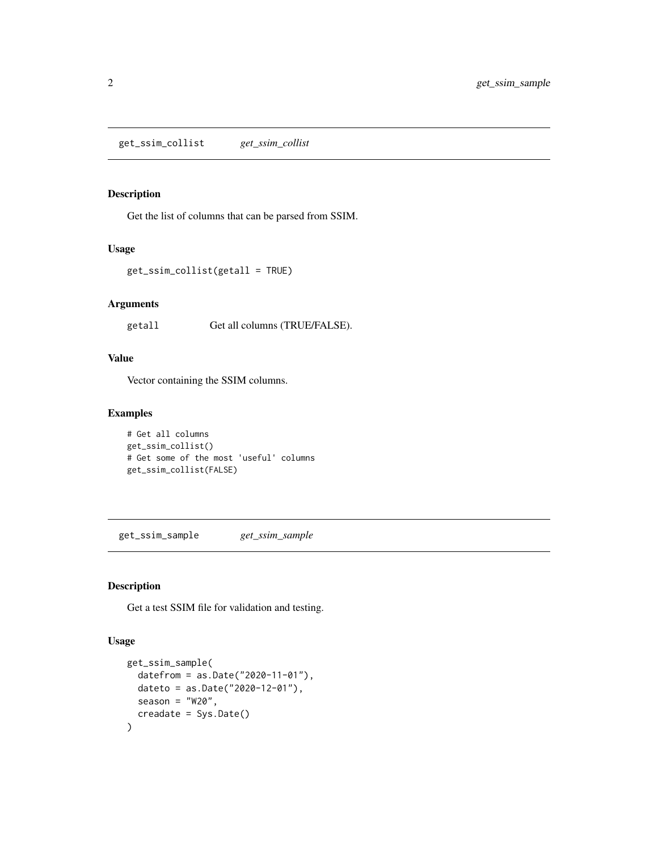# <span id="page-1-0"></span>Description

Get the list of columns that can be parsed from SSIM.

#### Usage

```
get_ssim_collist(getall = TRUE)
```
# Arguments

getall Get all columns (TRUE/FALSE).

# Value

Vector containing the SSIM columns.

### Examples

```
# Get all columns
get_ssim_collist()
# Get some of the most 'useful' columns
get_ssim_collist(FALSE)
```
get\_ssim\_sample *get\_ssim\_sample*

# Description

Get a test SSIM file for validation and testing.

#### Usage

```
get_ssim_sample(
 datefrom = as.Date("2020-11-01"),
 dateto = as.Date("2020-12-01"),
 season = "W20",creadate = Sys.Date()
\mathcal{E}
```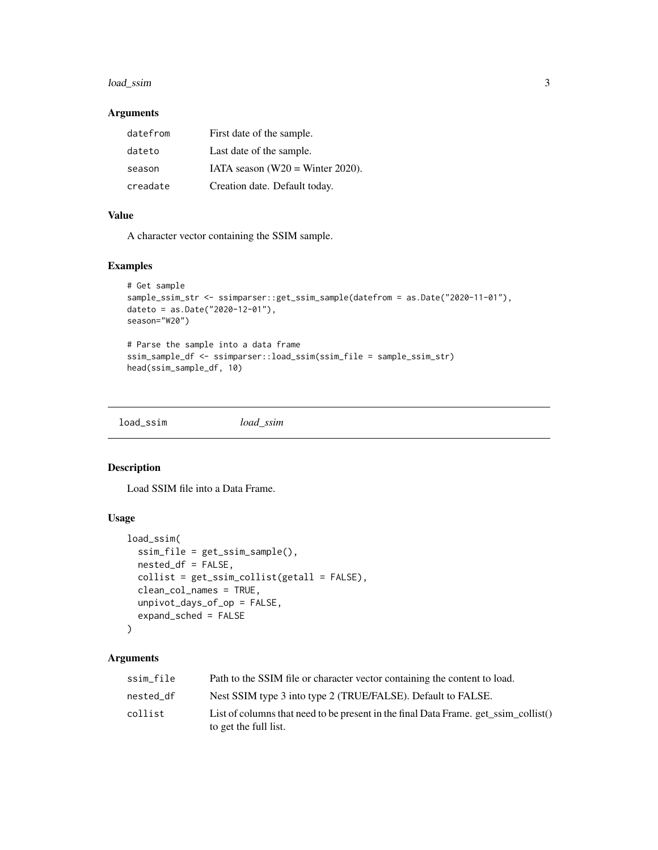# <span id="page-2-0"></span>load\_ssim 3

#### Arguments

| datefrom | First date of the sample.           |
|----------|-------------------------------------|
| dateto   | Last date of the sample.            |
| season   | IATA season ( $W20$ = Winter 2020). |
| creadate | Creation date. Default today.       |

# Value

A character vector containing the SSIM sample.

# Examples

```
# Get sample
sample_ssim_str <- ssimparser::get_ssim_sample(datefrom = as.Date("2020-11-01"),
dateto = as.Date("2020-12-01"),
season="W20")
# Parse the sample into a data frame
ssim_sample_df <- ssimparser::load_ssim(ssim_file = sample_ssim_str)
head(ssim_sample_df, 10)
```
load\_ssim *load\_ssim*

# Description

Load SSIM file into a Data Frame.

#### Usage

```
load_ssim(
  ssim_file = get_ssim_sample(),
  nested_df = FALSE,
  collist = get_ssim_collist(getall = FALSE),
  clean_col_names = TRUE,
  unpivot_days_of_op = FALSE,
  expand_sched = FALSE
\lambda
```
# Arguments

| ssim file | Path to the SSIM file or character vector containing the content to load.                                    |
|-----------|--------------------------------------------------------------------------------------------------------------|
| nested df | Nest SSIM type 3 into type 2 (TRUE/FALSE). Default to FALSE.                                                 |
| collist   | List of columns that need to be present in the final Data Frame. get ssim collist()<br>to get the full list. |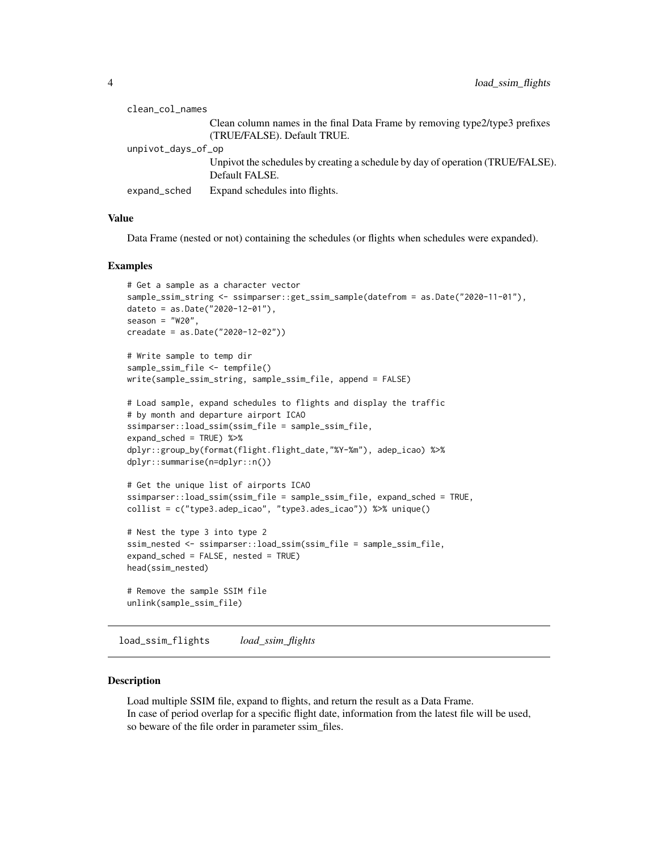<span id="page-3-0"></span>

| clean_col_names    |                                                                                                            |
|--------------------|------------------------------------------------------------------------------------------------------------|
|                    | Clean column names in the final Data Frame by removing type2/type3 prefixes<br>(TRUE/FALSE). Default TRUE. |
| unpivot_days_of_op |                                                                                                            |
|                    | Unpivot the schedules by creating a schedule by day of operation (TRUE/FALSE).<br>Default FALSE.           |
| expand_sched       | Expand schedules into flights.                                                                             |

#### Value

Data Frame (nested or not) containing the schedules (or flights when schedules were expanded).

#### Examples

```
# Get a sample as a character vector
sample_ssim_string <- ssimparser::get_ssim_sample(datefrom = as.Date("2020-11-01"),
dateto = as.Date("2020-12-01"),
season = "W20",
creadate = as.Date("2020-12-02"))
# Write sample to temp dir
sample_ssim_file <- tempfile()
write(sample_ssim_string, sample_ssim_file, append = FALSE)
# Load sample, expand schedules to flights and display the traffic
# by month and departure airport ICAO
ssimparser::load_ssim(ssim_file = sample_ssim_file,
expand_sched = TRUE) %>%
dplyr::group_by(format(flight.flight_date,"%Y-%m"), adep_icao) %>%
dplyr::summarise(n=dplyr::n())
# Get the unique list of airports ICAO
ssimparser::load_ssim(ssim_file = sample_ssim_file, expand_sched = TRUE,
collist = c("type3.adep_icao", "type3.ades_icao")) %>% unique()
# Nest the type 3 into type 2
ssim_nested <- ssimparser::load_ssim(ssim_file = sample_ssim_file,
expand_sched = FALSE, nested = TRUE)
head(ssim_nested)
# Remove the sample SSIM file
unlink(sample_ssim_file)
```
load\_ssim\_flights *load\_ssim\_flights*

#### Description

Load multiple SSIM file, expand to flights, and return the result as a Data Frame. In case of period overlap for a specific flight date, information from the latest file will be used, so beware of the file order in parameter ssim\_files.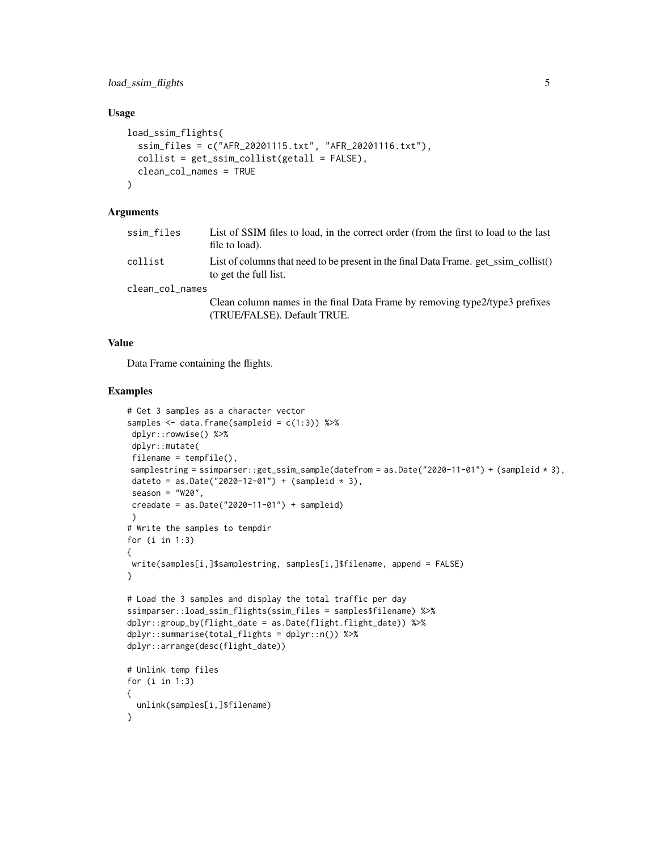load\_ssim\_flights 5

# Usage

```
load_ssim_flights(
  ssim_files = c("AFR_20201115.txt", "AFR_20201116.txt"),
  collist = get_ssim_collist(getall = FALSE),
  clean_col_names = TRUE
\lambda
```
# Arguments

| ssim files      | List of SSIM files to load, in the correct order (from the first to load to the last<br>file to load).       |
|-----------------|--------------------------------------------------------------------------------------------------------------|
| collist         | List of columns that need to be present in the final Data Frame. get_ssim_collist()<br>to get the full list. |
| clean_col_names |                                                                                                              |
|                 | Class column names in the final Data Frame by removing type? type? prefixes                                  |

Clean column names in the final Data Frame by removing type2/type3 prefixes (TRUE/FALSE). Default TRUE.

# Value

Data Frame containing the flights.

#### Examples

```
# Get 3 samples as a character vector
samples <- data.frame(sampleid = c(1:3)) %>%
dplyr::rowwise() %>%
 dplyr::mutate(
 filename = tempfile(),
samplestring = ssimparser::get_ssim_sample(datefrom = as.Date("2020-11-01") + (sampleid * 3),
 dateto = as.Date("2020-12-01") + (sampleid * 3),
 season = "W20".creadate = as.Date("2020-11-01") + sampleid)
)
# Write the samples to tempdir
for (i in 1:3)
{
 write(samples[i,]$samplestring, samples[i,]$filename, append = FALSE)
}
# Load the 3 samples and display the total traffic per day
ssimparser::load_ssim_flights(ssim_files = samples$filename) %>%
dplyr::group_by(flight_date = as.Date(flight.flight_date)) %>%
dplyr::summarise(total_flights = dplyr::n()) %>%
dplyr::arrange(desc(flight_date))
# Unlink temp files
for (i in 1:3)
{
  unlink(samples[i,]$filename)
}
```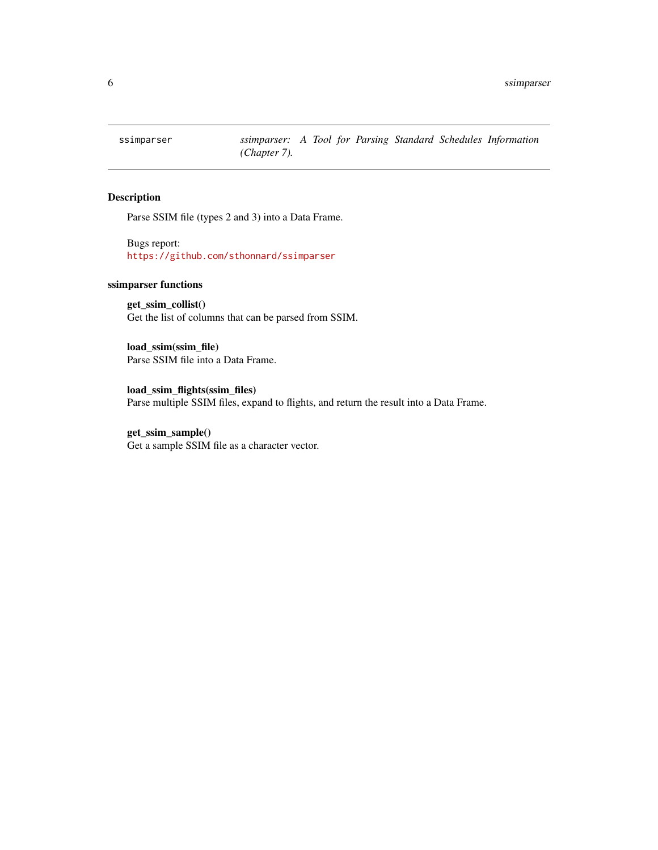<span id="page-5-0"></span>

# Description

Parse SSIM file (types 2 and 3) into a Data Frame.

Bugs report: <https://github.com/sthonnard/ssimparser>

# ssimparser functions

get\_ssim\_collist() Get the list of columns that can be parsed from SSIM.

load\_ssim(ssim\_file) Parse SSIM file into a Data Frame.

load\_ssim\_flights(ssim\_files) Parse multiple SSIM files, expand to flights, and return the result into a Data Frame.

### get\_ssim\_sample()

Get a sample SSIM file as a character vector.